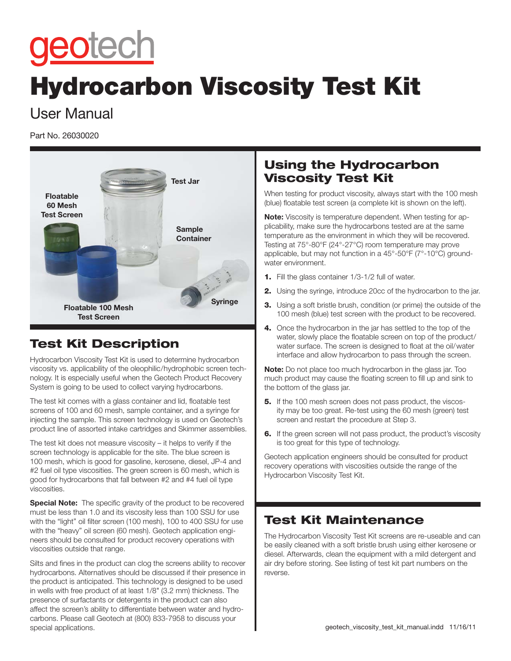# geotech

## Hydrocarbon Viscosity Test Kit

### User Manual

Part No. 26030020



#### Test Kit Description

Hydrocarbon Viscosity Test Kit is used to determine hydrocarbon viscosity vs. applicability of the oleophilic/hydrophobic screen technology. It is especially useful when the Geotech Product Recovery System is going to be used to collect varying hydrocarbons.

The test kit comes with a glass container and lid, floatable test screens of 100 and 60 mesh, sample container, and a syringe for injecting the sample. This screen technology is used on Geotech's product line of assorted intake cartridges and Skimmer assemblies.

The test kit does not measure viscosity – it helps to verify if the screen technology is applicable for the site. The blue screen is 100 mesh, which is good for gasoline, kerosene, diesel, JP-4 and #2 fuel oil type viscosities. The green screen is 60 mesh, which is good for hydrocarbons that fall between #2 and #4 fuel oil type viscosities.

**Special Note:** The specific gravity of the product to be recovered must be less than 1.0 and its viscosity less than 100 SSU for use with the "light" oil filter screen (100 mesh), 100 to 400 SSU for use with the "heavy" oil screen (60 mesh). Geotech application engineers should be consulted for product recovery operations with viscosities outside that range.

Silts and fines in the product can clog the screens ability to recover hydrocarbons. Alternatives should be discussed if their presence in the product is anticipated. This technology is designed to be used in wells with free product of at least 1/8" (3.2 mm) thickness. The presence of surfactants or detergents in the product can also affect the screen's ability to differentiate between water and hydrocarbons. Please call Geotech at (800) 833-7958 to discuss your special applications.

#### Using the Hydrocarbon Viscosity Test Kit

When testing for product viscosity, always start with the 100 mesh (blue) floatable test screen (a complete kit is shown on the left).

**Note:** Viscosity is temperature dependent. When testing for applicability, make sure the hydrocarbons tested are at the same temperature as the environment in which they will be recovered. Testing at 75°-80°F (24°-27°C) room temperature may prove applicable, but may not function in a 45°-50°F (7°-10°C) groundwater environment.

- 1. Fill the glass container 1/3-1/2 full of water.
- 2. Using the syringe, introduce 20cc of the hydrocarbon to the jar.
- **3.** Using a soft bristle brush, condition (or prime) the outside of the 100 mesh (blue) test screen with the product to be recovered.
- 4. Once the hydrocarbon in the jar has settled to the top of the water, slowly place the floatable screen on top of the product/ water surface. The screen is designed to float at the oil/water interface and allow hydrocarbon to pass through the screen.

**Note:** Do not place too much hydrocarbon in the glass jar. Too much product may cause the floating screen to fill up and sink to the bottom of the glass jar.

- **5.** If the 100 mesh screen does not pass product, the viscosity may be too great. Re-test using the 60 mesh (green) test screen and restart the procedure at Step 3.
- **6.** If the green screen will not pass product, the product's viscosity is too great for this type of technology.

Geotech application engineers should be consulted for product recovery operations with viscosities outside the range of the Hydrocarbon Viscosity Test Kit.

#### Test Kit Maintenance

The Hydrocarbon Viscosity Test Kit screens are re-useable and can be easily cleaned with a soft bristle brush using either kerosene or diesel. Afterwards, clean the equipment with a mild detergent and air dry before storing. See listing of test kit part numbers on the reverse.